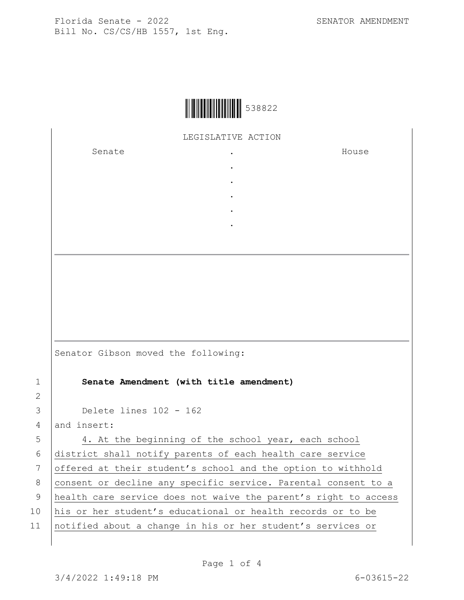

LEGISLATIVE ACTION

. . . . .

Senate .

House

| 4. At the beginning of the school year, each school             |
|-----------------------------------------------------------------|
| district shall notify parents of each health care service       |
| offered at their student's school and the option to withhold    |
| consent or decline any specific service. Parental consent to a  |
| health care service does not waive the parent's right to access |
| his or her student's educational or health records or to be     |
|                                                                 |

11 notified about a change in his or her student's services or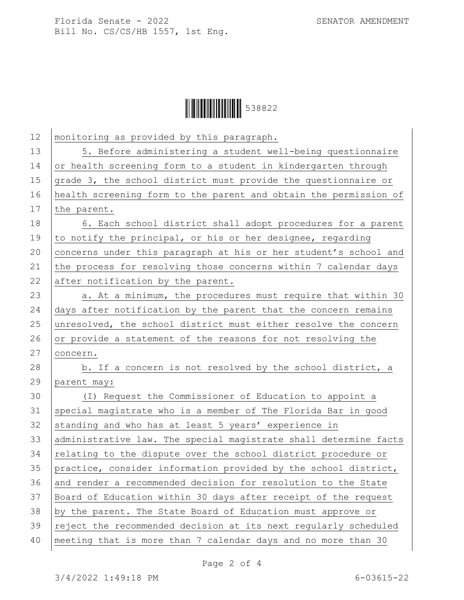Florida Senate - 2022 SENATOR AMENDMENT Bill No. CS/CS/HB 1557, 1st Eng.



| 12 | monitoring as provided by this paragraph.                        |
|----|------------------------------------------------------------------|
| 13 | 5. Before administering a student well-being questionnaire       |
| 14 | or health screening form to a student in kindergarten through    |
| 15 | grade 3, the school district must provide the questionnaire or   |
| 16 | health screening form to the parent and obtain the permission of |
| 17 | the parent.                                                      |
| 18 | 6. Each school district shall adopt procedures for a parent      |
| 19 | to notify the principal, or his or her designee, regarding       |
| 20 | concerns under this paragraph at his or her student's school and |
| 21 | the process for resolving those concerns within 7 calendar days  |
| 22 | after notification by the parent.                                |
| 23 | a. At a minimum, the procedures must require that within 30      |
| 24 | days after notification by the parent that the concern remains   |
| 25 | unresolved, the school district must either resolve the concern  |
| 26 | or provide a statement of the reasons for not resolving the      |
| 27 | concern.                                                         |
| 28 | b. If a concern is not resolved by the school district, a        |
| 29 | parent may:                                                      |
| 30 | (I) Request the Commissioner of Education to appoint a           |
| 31 | special magistrate who is a member of The Florida Bar in good    |
| 32 | standing and who has at least 5 years' experience in             |
| 33 | administrative law. The special magistrate shall determine facts |
| 34 | relating to the dispute over the school district procedure or    |
| 35 | practice, consider information provided by the school district,  |
| 36 | and render a recommended decision for resolution to the State    |
| 37 | Board of Education within 30 days after receipt of the request   |
| 38 | by the parent. The State Board of Education must approve or      |
| 39 | reject the recommended decision at its next regularly scheduled  |
| 40 | meeting that is more than 7 calendar days and no more than 30    |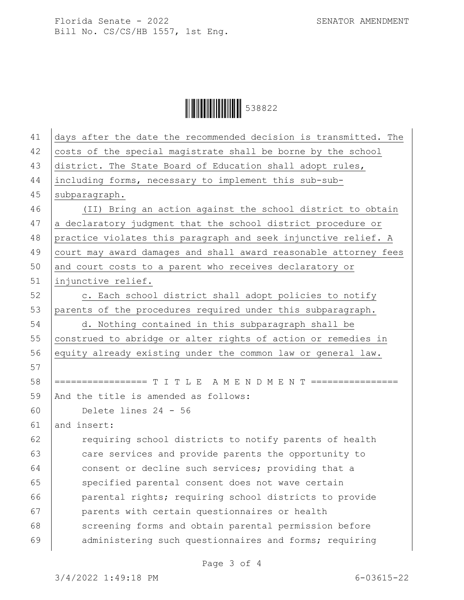Florida Senate - 2022 SENATOR AMENDMENT Bill No. CS/CS/HB 1557, 1st Eng.

Ì538822.Î538822

| 41 | days after the date the recommended decision is transmitted. The |
|----|------------------------------------------------------------------|
| 42 | costs of the special magistrate shall be borne by the school     |
| 43 | district. The State Board of Education shall adopt rules,        |
| 44 | including forms, necessary to implement this sub-sub-            |
| 45 | subparagraph.                                                    |
| 46 | (II) Bring an action against the school district to obtain       |
| 47 | a declaratory judgment that the school district procedure or     |
| 48 | practice violates this paragraph and seek injunctive relief. A   |
| 49 | court may award damages and shall award reasonable attorney fees |
| 50 | and court costs to a parent who receives declaratory or          |
| 51 | injunctive relief.                                               |
| 52 | c. Each school district shall adopt policies to notify           |
| 53 | parents of the procedures required under this subparagraph.      |
| 54 | d. Nothing contained in this subparagraph shall be               |
| 55 | construed to abridge or alter rights of action or remedies in    |
| 56 | equity already existing under the common law or general law.     |
| 57 |                                                                  |
| 58 | ================= T I T L E A M E N D M E N T ================   |
| 59 | And the title is amended as follows:                             |
| 60 | Delete lines 24 - 56                                             |
| 61 | and insert:                                                      |
| 62 | requiring school districts to notify parents of health           |
| 63 | care services and provide parents the opportunity to             |
| 64 | consent or decline such services; providing that a               |
| 65 | specified parental consent does not wave certain                 |
| 66 | parental rights; requiring school districts to provide           |
| 67 | parents with certain questionnaires or health                    |
| 68 | screening forms and obtain parental permission before            |
| 69 | administering such questionnaires and forms; requiring           |

Page 3 of 4